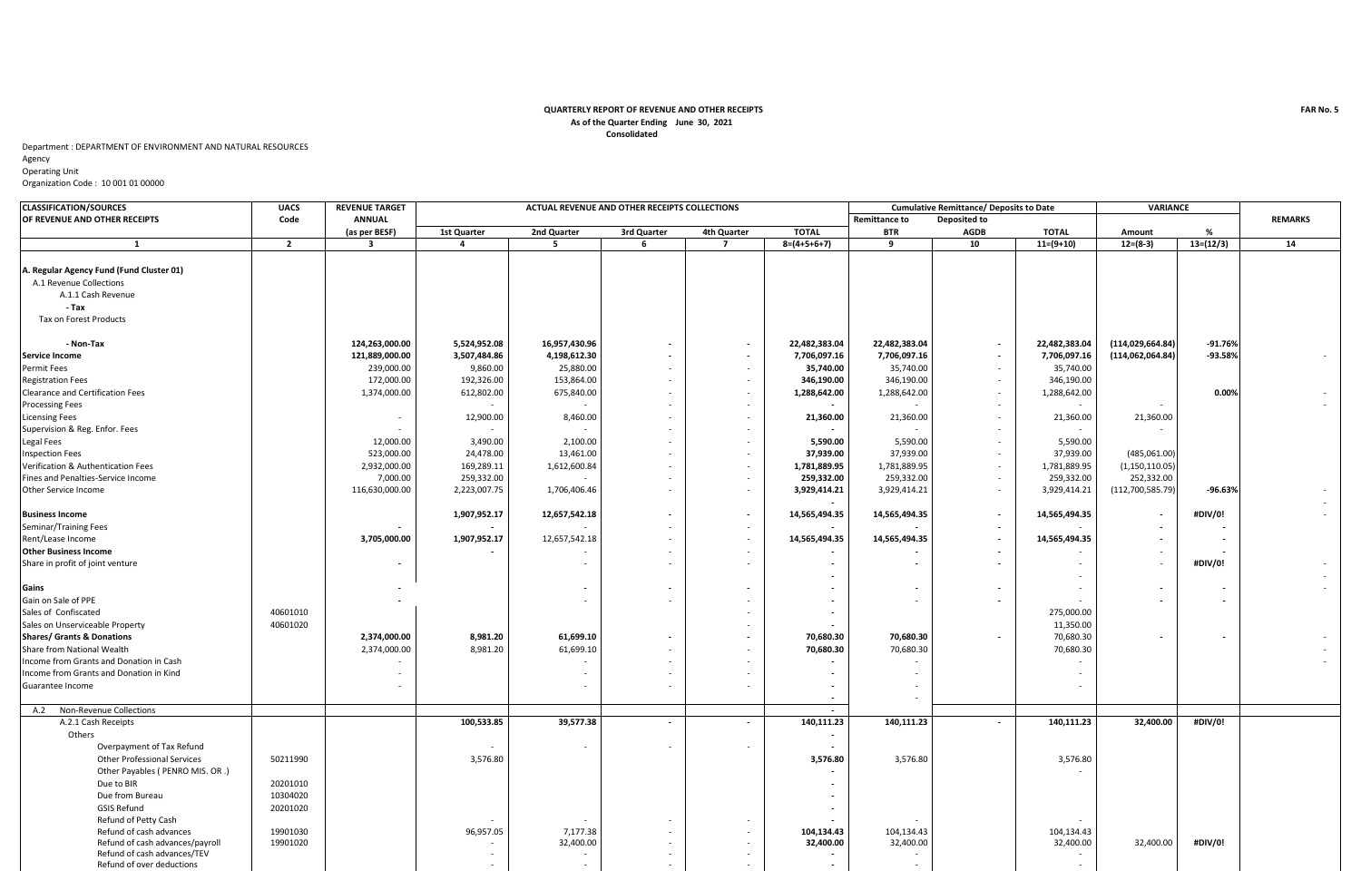## **Consolidated QUARTERLY REPORT OF REVENUE AND OTHER RECEIPTS As of the Quarter Ending June 30, 2021**

## Department : DEPARTMENT OF ENVIRONMENT AND NATURAL RESOURCES

Agency

Operating Unit Organization Code : 10 001 01 00000

**CLASSIFICATION/SOURCES UACS REVENUE TARGET OF REVENUE AND OTHER RECEIPTS Code ANNUAL Remittance to Deposited to REMARKS (as per BESF) 1st Quarter 2nd Quarter 3rd Quarter 4th Quarter TOTAL BTR AGDB TOTAL Amount % 2 3 4 5 6 7 8=(4+5+6+7) 9 10 11=(9+10) 12=(8-3) 13=(12/3) 14** A.1.1 Cash Revenue  **- Tax - Non-Tax 124,263,000.00 5,524,952.08 16,957,430.96 - - 22,482,383.04 22,482,383.04 - 22,482,383.04 (114,029,664.84) -91.76% 121,889,000.00 3,507,484.86 4,198,612.30 - - 7,706,097.16 7,706,097.16 - 7,706,097.16 (114,062,064.84) -93.58%** - 239,000.00 | 9,860.00 | 25,880.00 | - | - <mark>| 35,740.00</mark> | 35,740.00 | - | 35,700.00 172,000.00 | 192,326.00 | 153,864.00 | - | - | **346,190.00** 346,190.00 | - | 346,190.00 1,374,000.00 612,802.00 675,840.00 - - **1,288,642.00** 1,288,642.00 - 1,288,642.00 **0.00%** - - - - - **-** - - - - - - | 12,900.00 8,460.00 - | - | 21,**360.00 | 21,360.00 | 21,360.00 | 21,360.00** | 21,360.00 | 21,360.00 - - - - - **-** - - - - 12,000.00 3,490.00 2,100.00 - - **5,590.00** 5,590.00 - 5,590.00 523,000.00 24,478.00 13,461.00 - - **37,939.00** 37,939.00 - 37,939.00 (485,061.00) 2,932,000.00 169,289.11 1,612,600.84 - - - - 1**,781,889.95** 1,781,889.95 - 1,781,889.95 (1,150,110.05) 7,000.00 259,332.00 - - - **259,332.00** 259,332.00 - 259,332.00 252,332.00 116,630,000.00 2,223,007.75 1,706,406.46 - - **3,929,414.21** 3,929,414.21 - 3,929,414.21 (112,700,585.79) **-96.63%** -  **-** - 1,907,952.17 | 12,657,542.18 | - | - | 14,565,494.35 | 14,565,494.35 | - | 14,565,494.35 | - | #DIV/0! | - - **- -** - - - **- - -** - **- -** 3,705,000.00 1,907,952.17 12,657,542.18 - - 1 - 14,565,494.35 14,565,494.35 14,565,494.35 - 14,565,494.35 - - **-** - - - **- - -** - - **- -** - - - **- - -** - - **#DIV/0!** -  **-** - -  **- - - - - - -** - **- -** -  **-** - - - **-** - **-** - **- -** Sales of Confiscated 40601010 - **-** 275,000.00 Sales on Unserviceable Property 40601020 - **-** 11,350.00 2**,374,000.00 |** 8,981.20 | 61,699.10 | - | - | 70,680.30 | 70,680.30 | - | 70,680.30 | - | - | - | 2,374,000.00 8,981.20 61,699.10 - - - - **70,680.30 7**0,680.30 70,680.30 70,680.30 70,680.30 70,680.30 **70,680.30**  - - - - **-** - - - - - - - **-** - - - - - - **-** - -  **-** - A.2 Non-Revenue Collections **-** A.2.1 Cash Receipts 100,533.85 | 39,577.38 | 140,111.23 | 140,111.23 | #DIV/0! Others **-** Overpayment of Tax Refund Other Professional Services 50211990 3,576.80 **3,576.80** 3,576.80 3,576.80 Other Payables ( PENRO MIS. OR .) **-** - Due to BIR 20201010 **-** Due from Bureau 10304020 **-** GSIS Refund 20201020 **-** Refund of Petty Cash - - - - **-** - - Refund of cash advances | 19901030 | 7,177.38 | 1**04,134.43** | 104,134.43 | 104,134.43 | 104,134.43 Refund of cash advances/payroll 19901020 - 32,400.00 - - **32,400.00** 32,400.00 32,400.00 32,400.00 **#DIV/0!** Refund of cash advances/TEV - - - - **-** - - Gain on Sale of PPE **Shares/ Grants & Donations** Share from National Wealth Income from Grants and Donation in Cash Income from Grants and Donation in Kind Guarantee Income Rent/Lease Income **Other Business Income**  Share in profit of joint venture **Gains** Supervision & Reg. Enfor. Fees Legal Fees Inspection Fees Verification & Authentication Fees Fines and Penalties-Service Income Other Service Income **Business Income** Seminar/Training Fees A.1 Revenue Collections Tax on Forest Products **Service Income** Permit Fees Registration Fees Clearance and Certification Fees Processing Fees Licensing Fees **ACTUAL REVENUE AND OTHER RECEIPTS COLLECTIONS Cumulative Remittance/ Deposits to Date VARIANCE 1 A. Regular Agency Fund (Fund Cluster 01)**

Refund of over deductions - - - - **-** - -

**FAR No. 5**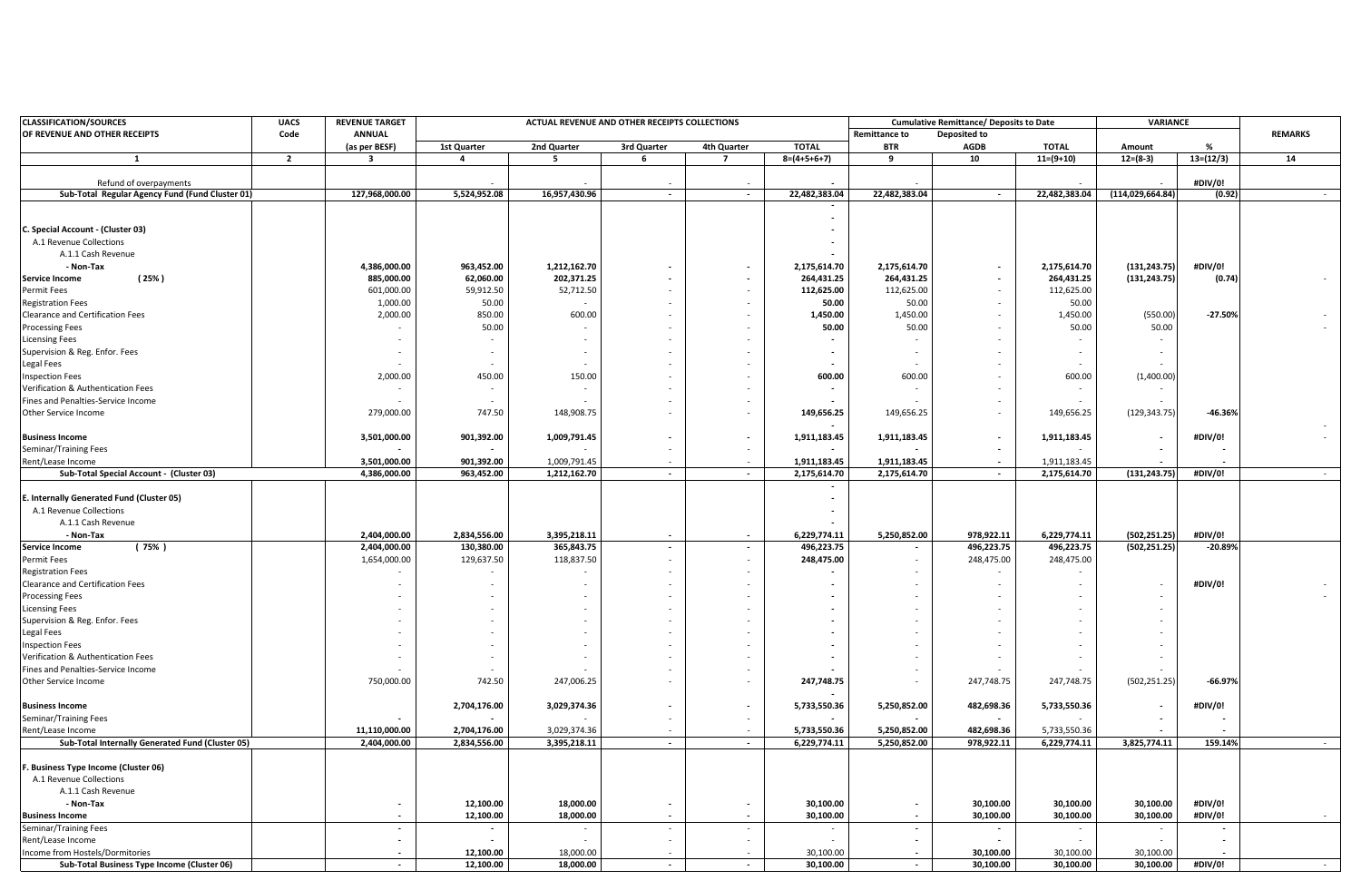| <b>CLASSIFICATION/SOURCES</b>                                                  | <b>UACS</b><br>Code | <b>REVENUE TARGET</b><br><b>ANNUAL</b> | ACTUAL REVENUE AND OTHER RECEIPTS COLLECTIONS |               |               |             |                        |                      | <b>Cumulative Remittance/ Deposits to Date</b> |                        | VARIANCE               |             | <b>REMARKS</b> |
|--------------------------------------------------------------------------------|---------------------|----------------------------------------|-----------------------------------------------|---------------|---------------|-------------|------------------------|----------------------|------------------------------------------------|------------------------|------------------------|-------------|----------------|
| OF REVENUE AND OTHER RECEIPTS                                                  |                     |                                        |                                               |               |               |             |                        | <b>Remittance to</b> | Deposited to                                   |                        |                        |             |                |
|                                                                                |                     | (as per BESF)                          | 1st Quarter                                   | 2nd Quarter   | 3rd Quarter   | 4th Quarter | <b>TOTAL</b>           | <b>BTR</b>           | <b>AGDB</b>                                    | <b>TOTAL</b>           | Amount                 | %           |                |
| 1                                                                              | $\overline{2}$      | -3                                     | 4                                             | -5            | 6             | 7           | $8=(4+5+6+7)$          | 9                    | 10                                             | $11=(9+10)$            | $12=(8-3)$             | $13=(12/3)$ | 14             |
| Refund of overpayments                                                         |                     |                                        |                                               |               |               | $\sim$      |                        |                      |                                                |                        |                        | #DIV/0!     |                |
| Sub-Total Regular Agency Fund (Fund Cluster 01)                                |                     | 127,968,000.00                         | 5,524,952.08                                  | 16,957,430.96 | $\sim$        | $\sim$      | 22,482,383.04          | 22,482,383.04        | $\overline{\phantom{a}}$                       | 22,482,383.04          | (114, 029, 664.84)     | (0.92)      |                |
|                                                                                |                     |                                        |                                               |               |               |             |                        |                      |                                                |                        |                        |             |                |
|                                                                                |                     |                                        |                                               |               |               |             |                        |                      |                                                |                        |                        |             |                |
| C. Special Account - (Cluster 03)                                              |                     |                                        |                                               |               |               |             |                        |                      |                                                |                        |                        |             |                |
| A.1 Revenue Collections                                                        |                     |                                        |                                               |               |               |             |                        |                      |                                                |                        |                        |             |                |
| A.1.1 Cash Revenue                                                             |                     |                                        |                                               |               |               |             |                        |                      |                                                |                        |                        |             |                |
| - Non-Tax                                                                      |                     | 4,386,000.00                           | 963,452.00                                    | 1,212,162.70  |               | $\sim$      | 2,175,614.70           | 2,175,614.70         | $\overline{\phantom{a}}$                       | 2,175,614.70           | (131, 243.75)          | #DIV/0!     |                |
| (25%)<br><b>Service Income</b>                                                 |                     | 885,000.00                             | 62,060.00                                     | 202,371.25    |               |             | 264,431.25             | 264,431.25           | $\overline{\phantom{a}}$                       | 264,431.25             | (131, 243.75)          | (0.74)      |                |
| Permit Fees                                                                    |                     | 601,000.00                             | 59,912.50                                     | 52,712.50     |               |             | 112,625.00             | 112,625.00           |                                                | 112,625.00             |                        |             |                |
| <b>Registration Fees</b>                                                       |                     | 1,000.00                               | 50.00                                         |               |               |             | 50.00                  | 50.00                |                                                | 50.00                  |                        |             |                |
| Clearance and Certification Fees                                               |                     | 2,000.00                               | 850.00                                        | 600.00        |               |             | 1,450.00               | 1,450.00             |                                                | 1,450.00               | (550.00)               | $-27.50%$   |                |
| <b>Processing Fees</b>                                                         |                     |                                        | 50.00                                         |               |               |             | 50.00                  | 50.00                |                                                | 50.00                  | 50.00                  |             |                |
| <b>Licensing Fees</b>                                                          |                     |                                        |                                               |               |               |             |                        |                      |                                                |                        |                        |             |                |
| Supervision & Reg. Enfor. Fees                                                 |                     |                                        |                                               | $\sim$        |               |             | $\sim$                 |                      |                                                |                        |                        |             |                |
| Legal Fees                                                                     |                     |                                        |                                               |               |               |             |                        |                      |                                                |                        |                        |             |                |
| <b>Inspection Fees</b>                                                         |                     | 2,000.00                               | 450.00                                        | 150.00        |               |             | 600.00                 | 600.00               |                                                | 600.00                 | (1,400.00)             |             |                |
| Verification & Authentication Fees                                             |                     |                                        |                                               |               |               |             |                        |                      |                                                |                        |                        |             |                |
| Fines and Penalties-Service Income                                             |                     |                                        |                                               |               |               |             |                        |                      |                                                |                        |                        |             |                |
| Other Service Income                                                           |                     | 279,000.00                             | 747.50                                        | 148,908.75    |               |             | 149,656.25             | 149,656.25           |                                                | 149,656.25             | (129, 343.75)          | $-46.36%$   |                |
| <b>Business Income</b>                                                         |                     | 3,501,000.00                           | 901,392.00                                    | 1,009,791.45  |               | $\sim$      | 1,911,183.45           | 1,911,183.45         | $\overline{\phantom{a}}$                       | 1,911,183.45           |                        | #DIV/0!     |                |
| Seminar/Training Fees                                                          |                     |                                        |                                               |               |               |             |                        |                      |                                                |                        |                        |             |                |
| Rent/Lease Income                                                              |                     | 3,501,000.00                           | 901,392.00                                    | 1,009,791.45  |               |             | 1,911,183.45           | 1,911,183.45         | $\overline{\phantom{a}}$                       | 1,911,183.45           |                        |             |                |
| Sub-Total Special Account - (Cluster 03)                                       |                     | 4,386,000.00                           | 963,452.00                                    | 1,212,162.70  | $\sim$        | $\sim$      | 2,175,614.70           | 2,175,614.70         | $\overline{\phantom{a}}$                       | 2,175,614.70           | (131, 243.75)          | #DIV/0!     | $\sim$         |
|                                                                                |                     |                                        |                                               |               |               |             |                        |                      |                                                |                        |                        |             |                |
| E. Internally Generated Fund (Cluster 05)                                      |                     |                                        |                                               |               |               |             | $\sim$                 |                      |                                                |                        |                        |             |                |
| A.1 Revenue Collections                                                        |                     |                                        |                                               |               |               |             | $\sim$                 |                      |                                                |                        |                        |             |                |
| A.1.1 Cash Revenue                                                             |                     |                                        |                                               |               |               |             |                        |                      |                                                |                        |                        |             |                |
| - Non-Tax                                                                      |                     | 2,404,000.00                           | 2,834,556.00                                  | 3,395,218.11  |               | $\sim$      | 6,229,774.11           | 5,250,852.00         | 978,922.11                                     | 6,229,774.11           | (502, 251.25)          | #DIV/0!     |                |
| <b>Service Income</b><br>(75% )                                                |                     | 2,404,000.00                           | 130,380.00                                    | 365,843.75    | $\sim$        | $\sim$      | 496,223.75             |                      | 496,223.75                                     | 496,223.75             | (502, 251.25)          | $-20.89%$   |                |
| Permit Fees                                                                    |                     | 1,654,000.00                           | 129,637.50                                    | 118,837.50    |               |             | 248,475.00             |                      | 248,475.00                                     | 248,475.00             |                        |             |                |
| <b>Registration Fees</b>                                                       |                     |                                        |                                               |               |               |             |                        |                      |                                                |                        |                        |             |                |
| Clearance and Certification Fees                                               |                     |                                        |                                               |               |               |             |                        |                      |                                                |                        |                        | #DIV/0!     |                |
| <b>Processing Fees</b>                                                         |                     |                                        |                                               |               |               |             |                        |                      |                                                |                        |                        |             |                |
| <b>Licensing Fees</b>                                                          |                     |                                        |                                               |               |               |             |                        |                      |                                                |                        |                        |             |                |
| Supervision & Reg. Enfor. Fees                                                 |                     |                                        |                                               |               |               |             |                        |                      |                                                |                        |                        |             |                |
| Legal Fees                                                                     |                     |                                        |                                               |               |               |             |                        |                      |                                                |                        |                        |             |                |
| <b>Inspection Fees</b>                                                         |                     |                                        |                                               |               |               |             |                        |                      |                                                |                        |                        |             |                |
| Verification & Authentication Fees                                             |                     | $\sim$                                 |                                               |               | $\sim$        |             |                        |                      |                                                |                        |                        |             |                |
| Fines and Penalties-Service Income                                             |                     |                                        |                                               |               |               |             |                        |                      |                                                |                        |                        |             |                |
| Other Service Income                                                           |                     | 750,000.00                             | 742.50                                        | 247,006.25    |               |             | 247,748.75             |                      | 247,748.75                                     | 247,748.75             | (502, 251.25)          | $-66.97%$   |                |
|                                                                                |                     |                                        |                                               |               |               |             |                        |                      |                                                |                        |                        |             |                |
| <b>Business Income</b>                                                         |                     |                                        | 2,704,176.00                                  | 3,029,374.36  |               | $\sim$      | 5,733,550.36           | 5,250,852.00         | 482,698.36                                     | 5,733,550.36           |                        | #DIV/0!     |                |
| Seminar/Training Fees                                                          |                     |                                        |                                               |               |               | $\sim$      |                        |                      |                                                |                        |                        |             |                |
| Rent/Lease Income                                                              |                     | 11,110,000.00                          | 2,704,176.00                                  | 3,029,374.36  |               |             | 5,733,550.36           | 5,250,852.00         | 482,698.36                                     | 5,733,550.36           |                        |             |                |
| Sub-Total Internally Generated Fund (Cluster 05)                               |                     | 2,404,000.00                           | 2,834,556.00                                  | 3,395,218.11  | $\sim$        | $\sim$      | 6,229,774.11           | 5,250,852.00         | 978,922.11                                     | 6,229,774.11           | 3,825,774.11           | 159.14%     |                |
|                                                                                |                     |                                        |                                               |               |               |             |                        |                      |                                                |                        |                        |             |                |
| F. Business Type Income (Cluster 06)                                           |                     |                                        |                                               |               |               |             |                        |                      |                                                |                        |                        |             |                |
| A.1 Revenue Collections                                                        |                     |                                        |                                               |               |               |             |                        |                      |                                                |                        |                        |             |                |
| A.1.1 Cash Revenue                                                             |                     |                                        |                                               |               |               |             |                        |                      |                                                |                        |                        |             |                |
| - Non-Tax                                                                      |                     |                                        | 12,100.00                                     | 18,000.00     |               |             | 30,100.00              |                      | 30,100.00                                      | 30,100.00              | 30,100.00              | #DIV/0!     |                |
| <b>Business Income</b>                                                         |                     | $\sim$                                 | 12,100.00                                     | 18,000.00     |               | $\sim$      | 30,100.00              | $\sim$               | 30,100.00                                      | 30,100.00              | 30,100.00              | #DIV/0!     |                |
| Seminar/Training Fees                                                          |                     | $\overline{\phantom{a}}$               |                                               |               |               | $\sim$      |                        |                      |                                                |                        |                        |             |                |
| Rent/Lease Income                                                              |                     |                                        |                                               | 18.000.00     |               | $\sim$      |                        |                      |                                                |                        |                        |             |                |
| Income from Hostels/Dormitories<br>Sub-Total Business Type Income (Cluster 06) |                     | $\omega$                               | 12,100.00<br>12,100.00                        | 18,000.00     | $\mathcal{L}$ |             | 30,100.00<br>30,100.00 |                      | 30,100.00<br>30,100.00                         | 30,100.00<br>30,100.00 | 30,100.00<br>30,100.00 | #DIV/0!     |                |
|                                                                                |                     |                                        |                                               |               |               |             |                        |                      |                                                |                        |                        |             |                |